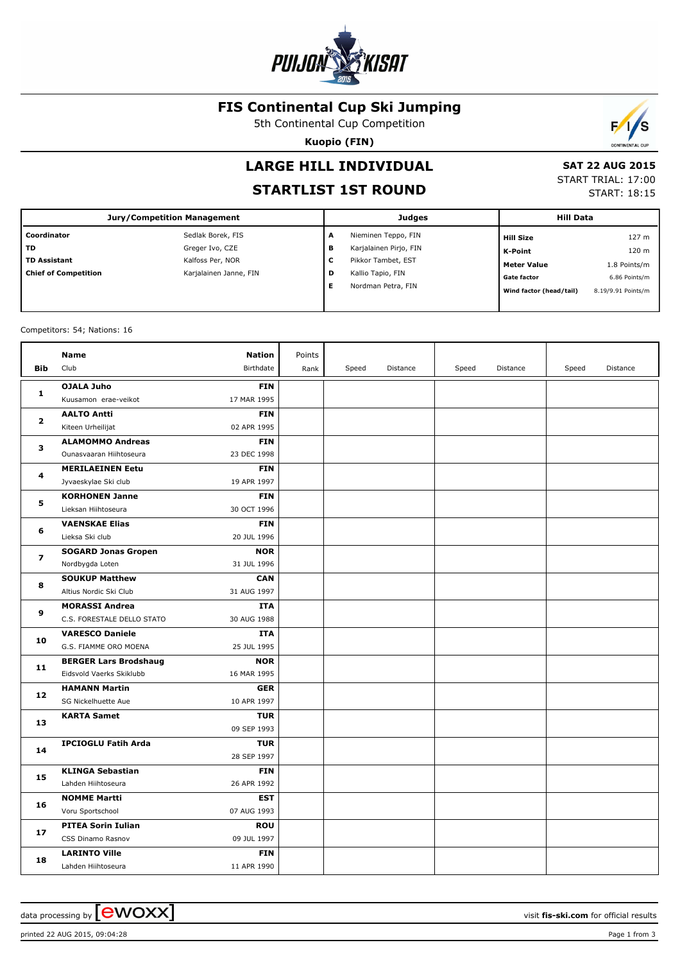

#### **FIS Continental Cup Ski Jumping**

5th Continental Cup Competition

**Kuopio (FIN)**



# **LARGE HILL INDIVIDUAL**

## **STARTLIST 1ST ROUND**

 **SAT 22 AUG 2015** START TRIAL: 17:00 START: 18:15

| <b>Jury/Competition Management</b> |                        |        | Judges                 | <b>Hill Data</b>        |                    |  |
|------------------------------------|------------------------|--------|------------------------|-------------------------|--------------------|--|
| Coordinator                        | Sedlak Borek, FIS      | A      | Nieminen Teppo, FIN    | <b>Hill Size</b>        | 127 m              |  |
| <b>TD</b>                          | Greger Ivo, CZE        | в      | Karjalainen Pirjo, FIN | K-Point                 | 120 m              |  |
| <b>TD Assistant</b>                | Kalfoss Per, NOR       | -<br>J | Pikkor Tambet, EST     | <b>Meter Value</b>      | 1.8 Points/m       |  |
| <b>Chief of Competition</b>        | Karjalainen Janne, FIN | D      | Kallio Tapio, FIN      | <b>Gate factor</b>      | 6.86 Points/m      |  |
|                                    |                        | Е      | Nordman Petra, FIN     | Wind factor (head/tail) | 8.19/9.91 Points/m |  |
|                                    |                        |        |                        |                         |                    |  |

Competitors: 54; Nations: 16

| <b>OJALA Juho</b><br><b>FIN</b><br>$\mathbf{1}$<br>Kuusamon erae-veikot<br>17 MAR 1995<br><b>FIN</b><br><b>AALTO Antti</b><br>$\overline{2}$<br>02 APR 1995<br>Kiteen Urheilijat<br><b>FIN</b><br><b>ALAMOMMO Andreas</b><br>3<br>23 DEC 1998<br>Ounasvaaran Hiihtoseura<br><b>FIN</b><br><b>MERILAEINEN Eetu</b><br>4<br>19 APR 1997<br>Jyvaeskylae Ski club<br><b>KORHONEN Janne</b><br><b>FIN</b><br>5<br>Lieksan Hiihtoseura<br>30 OCT 1996<br><b>VAENSKAE Elias</b><br><b>FIN</b><br>6<br>Lieksa Ski club<br>20 JUL 1996<br><b>SOGARD Jonas Gropen</b><br><b>NOR</b><br>7<br>Nordbygda Loten<br>31 JUL 1996<br><b>CAN</b><br><b>SOUKUP Matthew</b><br>8<br>Altius Nordic Ski Club<br>31 AUG 1997<br><b>ITA</b><br><b>MORASSI Andrea</b><br>9<br>C.S. FORESTALE DELLO STATO<br>30 AUG 1988<br><b>VARESCO Daniele</b><br><b>ITA</b><br>10<br>G.S. FIAMME ORO MOENA<br>25 JUL 1995<br><b>NOR</b><br><b>BERGER Lars Brodshaug</b><br>11<br>Eidsvold Vaerks Skiklubb<br>16 MAR 1995<br><b>HAMANN Martin</b><br><b>GER</b><br>12<br>SG Nickelhuette Aue<br>10 APR 1997<br><b>KARTA Samet</b><br><b>TUR</b><br>13<br>09 SEP 1993<br><b>IPCIOGLU Fatih Arda</b><br><b>TUR</b><br>14<br>28 SEP 1997<br><b>KLINGA Sebastian</b><br><b>FIN</b><br>15<br>Lahden Hiihtoseura<br>26 APR 1992<br><b>NOMME Martti</b><br><b>EST</b><br>16<br>07 AUG 1993<br>Voru Sportschool<br><b>PITEA Sorin Iulian</b><br><b>ROU</b><br>17<br>09 JUL 1997<br>CSS Dinamo Rasnov<br><b>LARINTO Ville</b><br><b>FIN</b><br>18<br>11 APR 1990<br>Lahden Hiihtoseura | <b>Bib</b> | Name<br>Club | <b>Nation</b><br>Birthdate | Points<br>Rank | Speed | Distance | Speed | Distance | Speed | Distance |
|-----------------------------------------------------------------------------------------------------------------------------------------------------------------------------------------------------------------------------------------------------------------------------------------------------------------------------------------------------------------------------------------------------------------------------------------------------------------------------------------------------------------------------------------------------------------------------------------------------------------------------------------------------------------------------------------------------------------------------------------------------------------------------------------------------------------------------------------------------------------------------------------------------------------------------------------------------------------------------------------------------------------------------------------------------------------------------------------------------------------------------------------------------------------------------------------------------------------------------------------------------------------------------------------------------------------------------------------------------------------------------------------------------------------------------------------------------------------------------------------------------------------------------------------|------------|--------------|----------------------------|----------------|-------|----------|-------|----------|-------|----------|
|                                                                                                                                                                                                                                                                                                                                                                                                                                                                                                                                                                                                                                                                                                                                                                                                                                                                                                                                                                                                                                                                                                                                                                                                                                                                                                                                                                                                                                                                                                                                         |            |              |                            |                |       |          |       |          |       |          |
|                                                                                                                                                                                                                                                                                                                                                                                                                                                                                                                                                                                                                                                                                                                                                                                                                                                                                                                                                                                                                                                                                                                                                                                                                                                                                                                                                                                                                                                                                                                                         |            |              |                            |                |       |          |       |          |       |          |
|                                                                                                                                                                                                                                                                                                                                                                                                                                                                                                                                                                                                                                                                                                                                                                                                                                                                                                                                                                                                                                                                                                                                                                                                                                                                                                                                                                                                                                                                                                                                         |            |              |                            |                |       |          |       |          |       |          |
|                                                                                                                                                                                                                                                                                                                                                                                                                                                                                                                                                                                                                                                                                                                                                                                                                                                                                                                                                                                                                                                                                                                                                                                                                                                                                                                                                                                                                                                                                                                                         |            |              |                            |                |       |          |       |          |       |          |
|                                                                                                                                                                                                                                                                                                                                                                                                                                                                                                                                                                                                                                                                                                                                                                                                                                                                                                                                                                                                                                                                                                                                                                                                                                                                                                                                                                                                                                                                                                                                         |            |              |                            |                |       |          |       |          |       |          |
|                                                                                                                                                                                                                                                                                                                                                                                                                                                                                                                                                                                                                                                                                                                                                                                                                                                                                                                                                                                                                                                                                                                                                                                                                                                                                                                                                                                                                                                                                                                                         |            |              |                            |                |       |          |       |          |       |          |
|                                                                                                                                                                                                                                                                                                                                                                                                                                                                                                                                                                                                                                                                                                                                                                                                                                                                                                                                                                                                                                                                                                                                                                                                                                                                                                                                                                                                                                                                                                                                         |            |              |                            |                |       |          |       |          |       |          |
|                                                                                                                                                                                                                                                                                                                                                                                                                                                                                                                                                                                                                                                                                                                                                                                                                                                                                                                                                                                                                                                                                                                                                                                                                                                                                                                                                                                                                                                                                                                                         |            |              |                            |                |       |          |       |          |       |          |
|                                                                                                                                                                                                                                                                                                                                                                                                                                                                                                                                                                                                                                                                                                                                                                                                                                                                                                                                                                                                                                                                                                                                                                                                                                                                                                                                                                                                                                                                                                                                         |            |              |                            |                |       |          |       |          |       |          |
|                                                                                                                                                                                                                                                                                                                                                                                                                                                                                                                                                                                                                                                                                                                                                                                                                                                                                                                                                                                                                                                                                                                                                                                                                                                                                                                                                                                                                                                                                                                                         |            |              |                            |                |       |          |       |          |       |          |
|                                                                                                                                                                                                                                                                                                                                                                                                                                                                                                                                                                                                                                                                                                                                                                                                                                                                                                                                                                                                                                                                                                                                                                                                                                                                                                                                                                                                                                                                                                                                         |            |              |                            |                |       |          |       |          |       |          |
|                                                                                                                                                                                                                                                                                                                                                                                                                                                                                                                                                                                                                                                                                                                                                                                                                                                                                                                                                                                                                                                                                                                                                                                                                                                                                                                                                                                                                                                                                                                                         |            |              |                            |                |       |          |       |          |       |          |
|                                                                                                                                                                                                                                                                                                                                                                                                                                                                                                                                                                                                                                                                                                                                                                                                                                                                                                                                                                                                                                                                                                                                                                                                                                                                                                                                                                                                                                                                                                                                         |            |              |                            |                |       |          |       |          |       |          |
|                                                                                                                                                                                                                                                                                                                                                                                                                                                                                                                                                                                                                                                                                                                                                                                                                                                                                                                                                                                                                                                                                                                                                                                                                                                                                                                                                                                                                                                                                                                                         |            |              |                            |                |       |          |       |          |       |          |
|                                                                                                                                                                                                                                                                                                                                                                                                                                                                                                                                                                                                                                                                                                                                                                                                                                                                                                                                                                                                                                                                                                                                                                                                                                                                                                                                                                                                                                                                                                                                         |            |              |                            |                |       |          |       |          |       |          |
|                                                                                                                                                                                                                                                                                                                                                                                                                                                                                                                                                                                                                                                                                                                                                                                                                                                                                                                                                                                                                                                                                                                                                                                                                                                                                                                                                                                                                                                                                                                                         |            |              |                            |                |       |          |       |          |       |          |
|                                                                                                                                                                                                                                                                                                                                                                                                                                                                                                                                                                                                                                                                                                                                                                                                                                                                                                                                                                                                                                                                                                                                                                                                                                                                                                                                                                                                                                                                                                                                         |            |              |                            |                |       |          |       |          |       |          |
|                                                                                                                                                                                                                                                                                                                                                                                                                                                                                                                                                                                                                                                                                                                                                                                                                                                                                                                                                                                                                                                                                                                                                                                                                                                                                                                                                                                                                                                                                                                                         |            |              |                            |                |       |          |       |          |       |          |
|                                                                                                                                                                                                                                                                                                                                                                                                                                                                                                                                                                                                                                                                                                                                                                                                                                                                                                                                                                                                                                                                                                                                                                                                                                                                                                                                                                                                                                                                                                                                         |            |              |                            |                |       |          |       |          |       |          |
|                                                                                                                                                                                                                                                                                                                                                                                                                                                                                                                                                                                                                                                                                                                                                                                                                                                                                                                                                                                                                                                                                                                                                                                                                                                                                                                                                                                                                                                                                                                                         |            |              |                            |                |       |          |       |          |       |          |
|                                                                                                                                                                                                                                                                                                                                                                                                                                                                                                                                                                                                                                                                                                                                                                                                                                                                                                                                                                                                                                                                                                                                                                                                                                                                                                                                                                                                                                                                                                                                         |            |              |                            |                |       |          |       |          |       |          |
|                                                                                                                                                                                                                                                                                                                                                                                                                                                                                                                                                                                                                                                                                                                                                                                                                                                                                                                                                                                                                                                                                                                                                                                                                                                                                                                                                                                                                                                                                                                                         |            |              |                            |                |       |          |       |          |       |          |
|                                                                                                                                                                                                                                                                                                                                                                                                                                                                                                                                                                                                                                                                                                                                                                                                                                                                                                                                                                                                                                                                                                                                                                                                                                                                                                                                                                                                                                                                                                                                         |            |              |                            |                |       |          |       |          |       |          |
|                                                                                                                                                                                                                                                                                                                                                                                                                                                                                                                                                                                                                                                                                                                                                                                                                                                                                                                                                                                                                                                                                                                                                                                                                                                                                                                                                                                                                                                                                                                                         |            |              |                            |                |       |          |       |          |       |          |
|                                                                                                                                                                                                                                                                                                                                                                                                                                                                                                                                                                                                                                                                                                                                                                                                                                                                                                                                                                                                                                                                                                                                                                                                                                                                                                                                                                                                                                                                                                                                         |            |              |                            |                |       |          |       |          |       |          |
|                                                                                                                                                                                                                                                                                                                                                                                                                                                                                                                                                                                                                                                                                                                                                                                                                                                                                                                                                                                                                                                                                                                                                                                                                                                                                                                                                                                                                                                                                                                                         |            |              |                            |                |       |          |       |          |       |          |
|                                                                                                                                                                                                                                                                                                                                                                                                                                                                                                                                                                                                                                                                                                                                                                                                                                                                                                                                                                                                                                                                                                                                                                                                                                                                                                                                                                                                                                                                                                                                         |            |              |                            |                |       |          |       |          |       |          |
|                                                                                                                                                                                                                                                                                                                                                                                                                                                                                                                                                                                                                                                                                                                                                                                                                                                                                                                                                                                                                                                                                                                                                                                                                                                                                                                                                                                                                                                                                                                                         |            |              |                            |                |       |          |       |          |       |          |
|                                                                                                                                                                                                                                                                                                                                                                                                                                                                                                                                                                                                                                                                                                                                                                                                                                                                                                                                                                                                                                                                                                                                                                                                                                                                                                                                                                                                                                                                                                                                         |            |              |                            |                |       |          |       |          |       |          |
|                                                                                                                                                                                                                                                                                                                                                                                                                                                                                                                                                                                                                                                                                                                                                                                                                                                                                                                                                                                                                                                                                                                                                                                                                                                                                                                                                                                                                                                                                                                                         |            |              |                            |                |       |          |       |          |       |          |
|                                                                                                                                                                                                                                                                                                                                                                                                                                                                                                                                                                                                                                                                                                                                                                                                                                                                                                                                                                                                                                                                                                                                                                                                                                                                                                                                                                                                                                                                                                                                         |            |              |                            |                |       |          |       |          |       |          |
|                                                                                                                                                                                                                                                                                                                                                                                                                                                                                                                                                                                                                                                                                                                                                                                                                                                                                                                                                                                                                                                                                                                                                                                                                                                                                                                                                                                                                                                                                                                                         |            |              |                            |                |       |          |       |          |       |          |
|                                                                                                                                                                                                                                                                                                                                                                                                                                                                                                                                                                                                                                                                                                                                                                                                                                                                                                                                                                                                                                                                                                                                                                                                                                                                                                                                                                                                                                                                                                                                         |            |              |                            |                |       |          |       |          |       |          |
|                                                                                                                                                                                                                                                                                                                                                                                                                                                                                                                                                                                                                                                                                                                                                                                                                                                                                                                                                                                                                                                                                                                                                                                                                                                                                                                                                                                                                                                                                                                                         |            |              |                            |                |       |          |       |          |       |          |
|                                                                                                                                                                                                                                                                                                                                                                                                                                                                                                                                                                                                                                                                                                                                                                                                                                                                                                                                                                                                                                                                                                                                                                                                                                                                                                                                                                                                                                                                                                                                         |            |              |                            |                |       |          |       |          |       |          |
|                                                                                                                                                                                                                                                                                                                                                                                                                                                                                                                                                                                                                                                                                                                                                                                                                                                                                                                                                                                                                                                                                                                                                                                                                                                                                                                                                                                                                                                                                                                                         |            |              |                            |                |       |          |       |          |       |          |
|                                                                                                                                                                                                                                                                                                                                                                                                                                                                                                                                                                                                                                                                                                                                                                                                                                                                                                                                                                                                                                                                                                                                                                                                                                                                                                                                                                                                                                                                                                                                         |            |              |                            |                |       |          |       |          |       |          |

data processing by  $\boxed{\text{ewOX}}$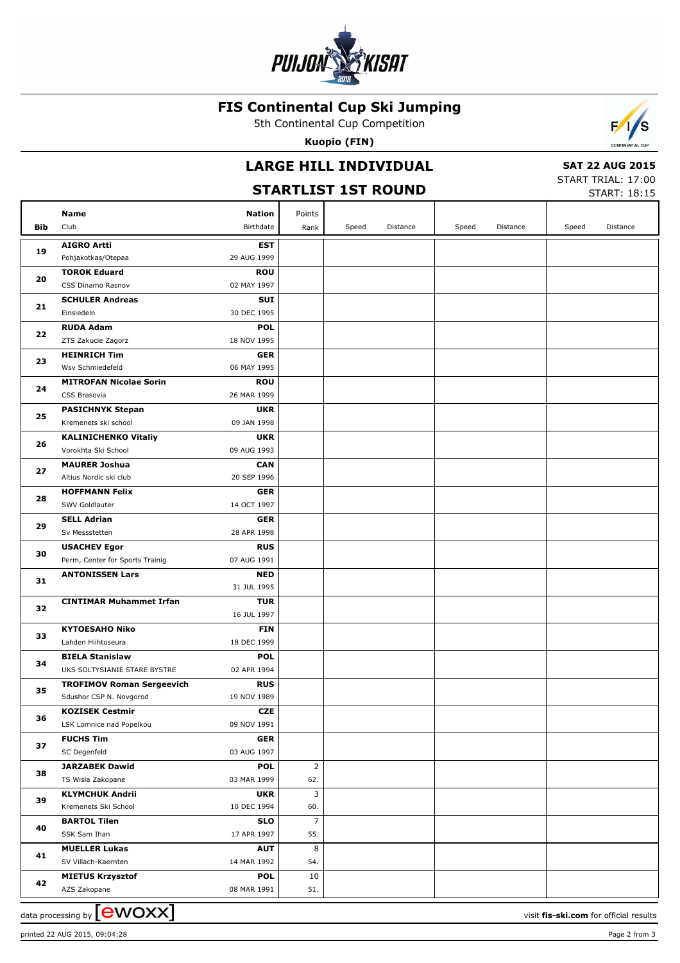

### **FIS Continental Cup Ski Jumping**

5th Continental Cup Competition

**Kuopio (FIN)**



#### **STARTLIST 1ST ROUND**

 **SAT 22 AUG 2015**

 $\overline{\phantom{a}}$ 

START TRIAL: 17:00 START: 18:15

| Bib | Name<br>Club                                                | <b>Nation</b><br>Birthdate | Points<br>Rank | Speed | Distance | Speed | Distance | Speed | Distance |
|-----|-------------------------------------------------------------|----------------------------|----------------|-------|----------|-------|----------|-------|----------|
|     |                                                             |                            |                |       |          |       |          |       |          |
| 19  | <b>AIGRO Artti</b>                                          | <b>EST</b>                 |                |       |          |       |          |       |          |
|     | Pohjakotkas/Otepaa                                          | 29 AUG 1999                |                |       |          |       |          |       |          |
| 20  | <b>TOROK Eduard</b>                                         | <b>ROU</b>                 |                |       |          |       |          |       |          |
|     | CSS Dinamo Rasnov                                           | 02 MAY 1997                |                |       |          |       |          |       |          |
| 21  | <b>SCHULER Andreas</b><br>Einsiedeln                        | <b>SUI</b><br>30 DEC 1995  |                |       |          |       |          |       |          |
|     | <b>RUDA Adam</b>                                            | <b>POL</b>                 |                |       |          |       |          |       |          |
| 22  | ZTS Zakucie Zagorz                                          | 18 NOV 1995                |                |       |          |       |          |       |          |
|     | <b>HEINRICH Tim</b>                                         | <b>GER</b>                 |                |       |          |       |          |       |          |
| 23  | Wsv Schmiedefeld                                            | 06 MAY 1995                |                |       |          |       |          |       |          |
|     | <b>MITROFAN Nicolae Sorin</b>                               | <b>ROU</b>                 |                |       |          |       |          |       |          |
| 24  | CSS Brasovia                                                | 26 MAR 1999                |                |       |          |       |          |       |          |
|     | <b>PASICHNYK Stepan</b>                                     | <b>UKR</b>                 |                |       |          |       |          |       |          |
| 25  | Kremenets ski school                                        | 09 JAN 1998                |                |       |          |       |          |       |          |
|     | <b>KALINICHENKO Vitaliy</b>                                 | <b>UKR</b>                 |                |       |          |       |          |       |          |
| 26  | Vorokhta Ski School                                         | 09 AUG 1993                |                |       |          |       |          |       |          |
|     | <b>MAURER Joshua</b>                                        | <b>CAN</b>                 |                |       |          |       |          |       |          |
| 27  | Altius Nordic ski club                                      | 20 SEP 1996                |                |       |          |       |          |       |          |
|     | <b>HOFFMANN Felix</b>                                       | <b>GER</b>                 |                |       |          |       |          |       |          |
| 28  | SWV Goldlauter                                              | 14 OCT 1997                |                |       |          |       |          |       |          |
|     | <b>SELL Adrian</b>                                          | <b>GER</b>                 |                |       |          |       |          |       |          |
| 29  | Sv Messstetten                                              | 28 APR 1998                |                |       |          |       |          |       |          |
| 30  | <b>USACHEV Egor</b>                                         | <b>RUS</b>                 |                |       |          |       |          |       |          |
|     | Perm, Center for Sports Trainig                             | 07 AUG 1991                |                |       |          |       |          |       |          |
| 31  | <b>ANTONISSEN Lars</b>                                      | <b>NED</b>                 |                |       |          |       |          |       |          |
|     |                                                             | 31 JUL 1995                |                |       |          |       |          |       |          |
| 32  | <b>CINTIMAR Muhammet Irfan</b>                              | <b>TUR</b>                 |                |       |          |       |          |       |          |
|     |                                                             | 16 JUL 1997                |                |       |          |       |          |       |          |
| 33  | <b>KYTOESAHO Niko</b>                                       | <b>FIN</b>                 |                |       |          |       |          |       |          |
|     | Lahden Hiihtoseura                                          | 18 DEC 1999                |                |       |          |       |          |       |          |
| 34  | <b>BIELA Stanislaw</b>                                      | <b>POL</b>                 |                |       |          |       |          |       |          |
|     | UKS SOLTYSIANIE STARE BYSTRE                                | 02 APR 1994<br><b>RUS</b>  |                |       |          |       |          |       |          |
| 35  | <b>TROFIMOV Roman Sergeevich</b><br>Sdushor CSP N. Novgorod | 19 NOV 1989                |                |       |          |       |          |       |          |
|     | <b>KOZISEK Cestmir</b>                                      | <b>CZE</b>                 |                |       |          |       |          |       |          |
| 36  | LSK Lomnice nad Popelkou                                    | 09 NOV 1991                |                |       |          |       |          |       |          |
|     | <b>FUCHS Tim</b>                                            | <b>GER</b>                 |                |       |          |       |          |       |          |
| 37  | SC Degenfeld                                                | 03 AUG 1997                |                |       |          |       |          |       |          |
|     | <b>JARZABEK Dawid</b>                                       | <b>POL</b>                 | $\overline{2}$ |       |          |       |          |       |          |
| 38  | TS Wisla Zakopane                                           | 03 MAR 1999                | 62.            |       |          |       |          |       |          |
|     | <b>KLYMCHUK Andrii</b>                                      | <b>UKR</b>                 | 3              |       |          |       |          |       |          |
| 39  | Kremenets Ski School                                        | 10 DEC 1994                | 60.            |       |          |       |          |       |          |
|     | <b>BARTOL Tilen</b>                                         | <b>SLO</b>                 | $\overline{7}$ |       |          |       |          |       |          |
| 40  | SSK Sam Ihan                                                | 17 APR 1997                | 55.            |       |          |       |          |       |          |
| 41  | <b>MUELLER Lukas</b>                                        | <b>AUT</b>                 | 8              |       |          |       |          |       |          |
|     | SV Villach-Kaernten                                         | 14 MAR 1992                | 54.            |       |          |       |          |       |          |
| 42  | <b>MIETUS Krzysztof</b>                                     | <b>POL</b>                 | 10             |       |          |       |          |       |          |
|     | AZS Zakopane                                                | 08 MAR 1991                | 51.            |       |          |       |          |       |          |

data processing by **CWOXX**  $\blacksquare$ 

printed 22 AUG 2015, 09:04:28 Page 2 from 3